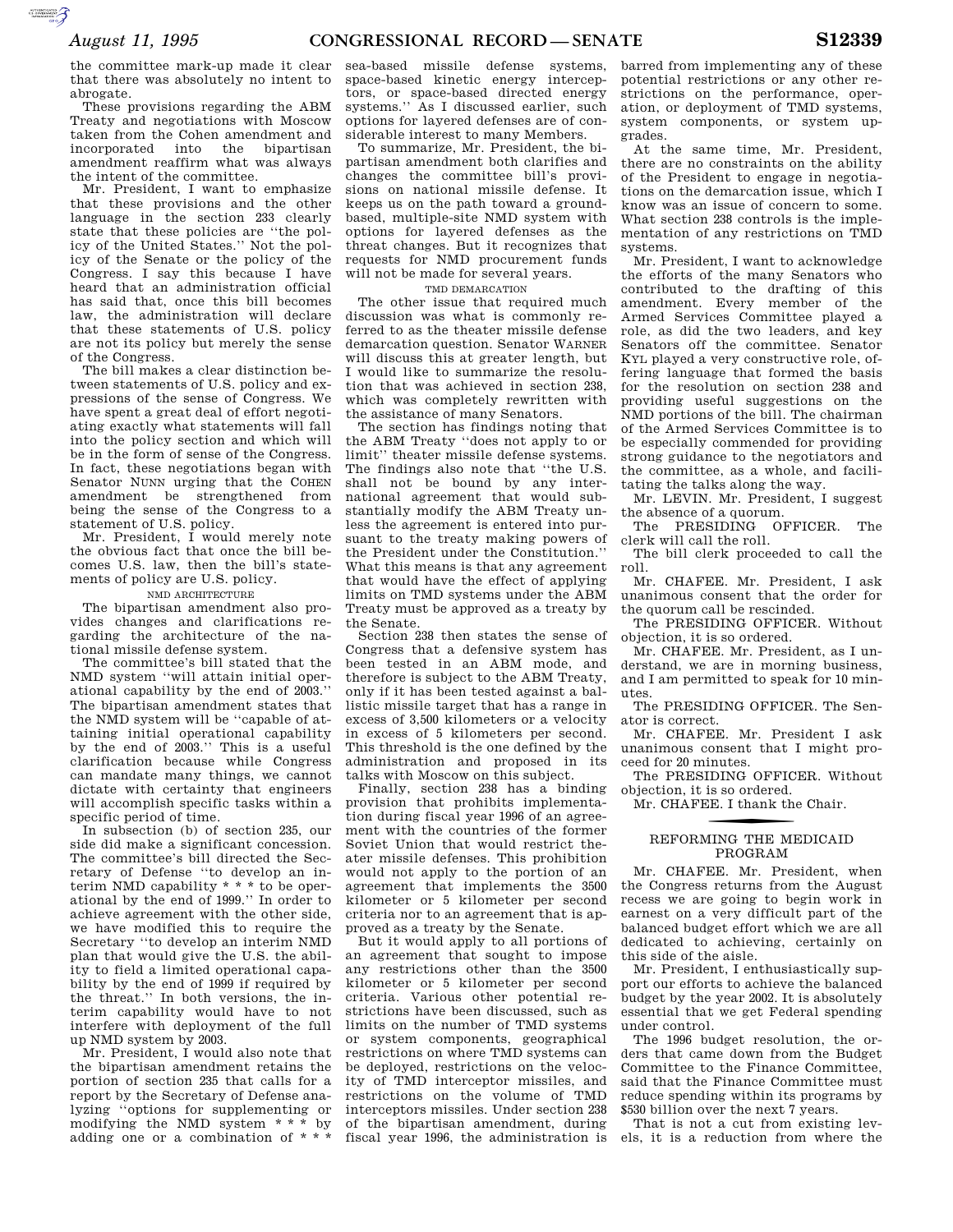**SUPERING AND SECURE AND** 

the committee mark-up made it clear that there was absolutely no intent to abrogate.

These provisions regarding the ABM Treaty and negotiations with Moscow taken from the Cohen amendment and incorporated into the bipartisan amendment reaffirm what was always the intent of the committee.

Mr. President, I want to emphasize that these provisions and the other language in the section 233 clearly state that these policies are ''the policy of the United States.'' Not the policy of the Senate or the policy of the Congress. I say this because I have heard that an administration official has said that, once this bill becomes law, the administration will declare that these statements of U.S. policy are not its policy but merely the sense of the Congress.

The bill makes a clear distinction between statements of U.S. policy and expressions of the sense of Congress. We have spent a great deal of effort negotiating exactly what statements will fall into the policy section and which will be in the form of sense of the Congress. In fact, these negotiations began with Senator NUNN urging that the COHEN amendment be strengthened from being the sense of the Congress to a statement of U.S. policy.

Mr. President, I would merely note the obvious fact that once the bill becomes U.S. law, then the bill's statements of policy are U.S. policy.

#### NMD ARCHITECTURE

The bipartisan amendment also provides changes and clarifications regarding the architecture of the national missile defense system.

The committee's bill stated that the NMD system ''will attain initial operational capability by the end of 2003.'' The bipartisan amendment states that the NMD system will be ''capable of attaining initial operational capability by the end of 2003.'' This is a useful clarification because while Congress can mandate many things, we cannot dictate with certainty that engineers will accomplish specific tasks within a specific period of time.

In subsection (b) of section 235, our side did make a significant concession. The committee's bill directed the Secretary of Defense ''to develop an interim NMD capability \* \* \* to be operational by the end of 1999.'' In order to achieve agreement with the other side, we have modified this to require the Secretary ''to develop an interim NMD plan that would give the U.S. the ability to field a limited operational capability by the end of 1999 if required by the threat.'' In both versions, the interim capability would have to not interfere with deployment of the full up NMD system by 2003.

Mr. President, I would also note that the bipartisan amendment retains the portion of section 235 that calls for a report by the Secretary of Defense analyzing ''options for supplementing or modifying the NMD system \* \* \* by adding one or a combination of \* \* \*

sea-based missile defense systems, space-based kinetic energy interceptors, or space-based directed energy systems.'' As I discussed earlier, such options for layered defenses are of considerable interest to many Members.

To summarize, Mr. President, the bipartisan amendment both clarifies and changes the committee bill's provisions on national missile defense. It keeps us on the path toward a groundbased, multiple-site NMD system with options for layered defenses as the threat changes. But it recognizes that requests for NMD procurement funds will not be made for several years.

### TMD DEMARCATION

The other issue that required much discussion was what is commonly referred to as the theater missile defense demarcation question. Senator WARNER will discuss this at greater length, but I would like to summarize the resolution that was achieved in section 238, which was completely rewritten with the assistance of many Senators.

The section has findings noting that the ABM Treaty ''does not apply to or limit'' theater missile defense systems. The findings also note that ''the U.S. shall not be bound by any international agreement that would substantially modify the ABM Treaty unless the agreement is entered into pursuant to the treaty making powers of the President under the Constitution.'' What this means is that any agreement that would have the effect of applying limits on TMD systems under the ABM Treaty must be approved as a treaty by the Senate.

Section 238 then states the sense of Congress that a defensive system has been tested in an ABM mode, and therefore is subject to the ABM Treaty, only if it has been tested against a ballistic missile target that has a range in excess of 3,500 kilometers or a velocity in excess of 5 kilometers per second. This threshold is the one defined by the administration and proposed in its talks with Moscow on this subject.

Finally, section 238 has a binding provision that prohibits implementation during fiscal year 1996 of an agreement with the countries of the former Soviet Union that would restrict theater missile defenses. This prohibition would not apply to the portion of an agreement that implements the 3500 kilometer or 5 kilometer per second criteria nor to an agreement that is approved as a treaty by the Senate.

But it would apply to all portions of an agreement that sought to impose any restrictions other than the 3500 kilometer or 5 kilometer per second criteria. Various other potential restrictions have been discussed, such as limits on the number of TMD systems or system components, geographical restrictions on where TMD systems can be deployed, restrictions on the velocity of TMD interceptor missiles, and restrictions on the volume of TMD interceptors missiles. Under section 238 of the bipartisan amendment, during fiscal year 1996, the administration is

barred from implementing any of these potential restrictions or any other restrictions on the performance, operation, or deployment of TMD systems, system components, or system upgrades.

At the same time, Mr. President, there are no constraints on the ability of the President to engage in negotiations on the demarcation issue, which I know was an issue of concern to some. What section 238 controls is the implementation of any restrictions on TMD systems.

Mr. President, I want to acknowledge the efforts of the many Senators who contributed to the drafting of this amendment. Every member of the Armed Services Committee played a role, as did the two leaders, and key Senators off the committee. Senator KYL played a very constructive role, offering language that formed the basis for the resolution on section 238 and providing useful suggestions on the NMD portions of the bill. The chairman of the Armed Services Committee is to be especially commended for providing strong guidance to the negotiators and the committee, as a whole, and facilitating the talks along the way.

Mr. LEVIN. Mr. President, I suggest the absence of a quorum.

The PRESIDING OFFICER. The clerk will call the roll.

The bill clerk proceeded to call the roll.

Mr. CHAFEE. Mr. President, I ask unanimous consent that the order for the quorum call be rescinded.

The PRESIDING OFFICER. Without objection, it is so ordered.

Mr. CHAFEE. Mr. President, as I understand, we are in morning business, and I am permitted to speak for 10 minutes.

The PRESIDING OFFICER. The Senator is correct.

Mr. CHAFEE. Mr. President I ask unanimous consent that I might proceed for 20 minutes.

The PRESIDING OFFICER. Without objection, it is so ordered.

Mr. CHAFEE. I thank the Chair.

## REFORMING THE MEDICAID PROGRAM

Mr. CHAFEE. Mr. President, when the Congress returns from the August recess we are going to begin work in earnest on a very difficult part of the balanced budget effort which we are all dedicated to achieving, certainly on this side of the aisle.

Mr. President, I enthusiastically support our efforts to achieve the balanced budget by the year 2002. It is absolutely essential that we get Federal spending under control.

The 1996 budget resolution, the orders that came down from the Budget Committee to the Finance Committee, said that the Finance Committee must reduce spending within its programs by \$530 billion over the next 7 years.

That is not a cut from existing levels, it is a reduction from where the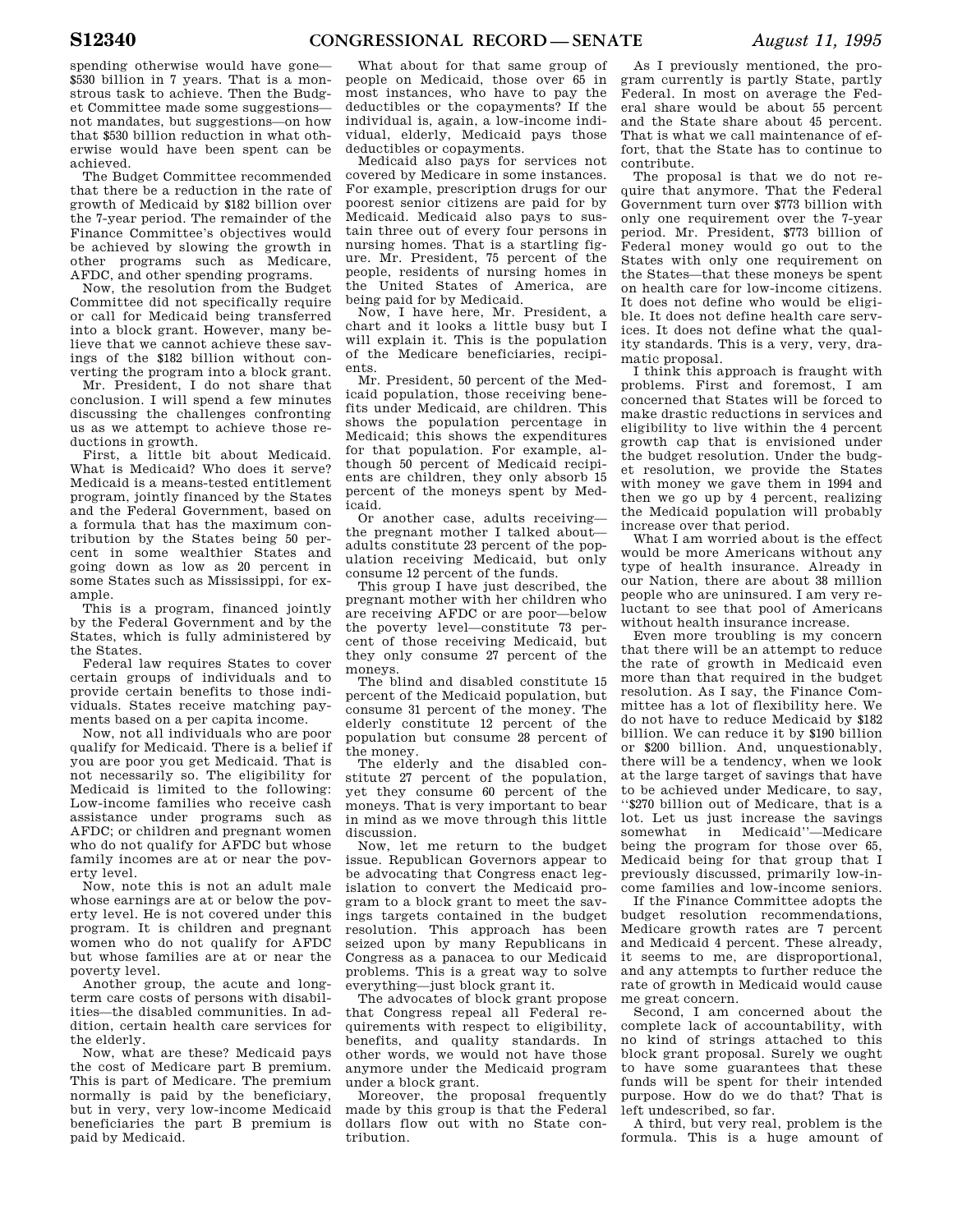spending otherwise would have gone— \$530 billion in 7 years. That is a monstrous task to achieve. Then the Budget Committee made some suggestions not mandates, but suggestions—on how that \$530 billion reduction in what otherwise would have been spent can be achieved.

The Budget Committee recommended that there be a reduction in the rate of growth of Medicaid by \$182 billion over the 7-year period. The remainder of the Finance Committee's objectives would be achieved by slowing the growth in other programs such as Medicare, AFDC, and other spending programs.

Now, the resolution from the Budget Committee did not specifically require or call for Medicaid being transferred into a block grant. However, many believe that we cannot achieve these savings of the \$182 billion without converting the program into a block grant.

Mr. President, I do not share that conclusion. I will spend a few minutes discussing the challenges confronting us as we attempt to achieve those reductions in growth.

First, a little bit about Medicaid. What is Medicaid? Who does it serve? Medicaid is a means-tested entitlement program, jointly financed by the States and the Federal Government, based on a formula that has the maximum contribution by the States being 50 percent in some wealthier States and going down as low as 20 percent in some States such as Mississippi, for example.

This is a program, financed jointly by the Federal Government and by the States, which is fully administered by the States.

Federal law requires States to cover certain groups of individuals and to provide certain benefits to those individuals. States receive matching payments based on a per capita income.

Now, not all individuals who are poor qualify for Medicaid. There is a belief if you are poor you get Medicaid. That is not necessarily so. The eligibility for Medicaid is limited to the following: Low-income families who receive cash assistance under programs such as AFDC; or children and pregnant women who do not qualify for AFDC but whose family incomes are at or near the poverty level.

Now, note this is not an adult male whose earnings are at or below the poverty level. He is not covered under this program. It is children and pregnant women who do not qualify for AFDC but whose families are at or near the poverty level.

Another group, the acute and longterm care costs of persons with disabilities—the disabled communities. In addition, certain health care services for the elderly.

Now, what are these? Medicaid pays the cost of Medicare part B premium. This is part of Medicare. The premium normally is paid by the beneficiary, but in very, very low-income Medicaid beneficiaries the part B premium is paid by Medicaid.

What about for that same group of people on Medicaid, those over 65 in most instances, who have to pay the deductibles or the copayments? If the individual is, again, a low-income individual, elderly, Medicaid pays those deductibles or copayments.

Medicaid also pays for services not covered by Medicare in some instances. For example, prescription drugs for our poorest senior citizens are paid for by Medicaid. Medicaid also pays to sustain three out of every four persons in nursing homes. That is a startling figure. Mr. President, 75 percent of the people, residents of nursing homes in the United States of America, are being paid for by Medicaid.

Now, I have here, Mr. President, a chart and it looks a little busy but I will explain it. This is the population of the Medicare beneficiaries, recipients.

Mr. President, 50 percent of the Medicaid population, those receiving benefits under Medicaid, are children. This shows the population percentage in Medicaid; this shows the expenditures for that population. For example, although 50 percent of Medicaid recipients are children, they only absorb 15 percent of the moneys spent by Medicaid.

Or another case, adults receiving the pregnant mother I talked about adults constitute 23 percent of the population receiving Medicaid, but only consume 12 percent of the funds.

This group I have just described, the pregnant mother with her children who are receiving AFDC or are poor—below the poverty level—constitute 73 percent of those receiving Medicaid, but they only consume 27 percent of the moneys.

The blind and disabled constitute 15 percent of the Medicaid population, but consume 31 percent of the money. The elderly constitute 12 percent of the population but consume 28 percent of the money.

The elderly and the disabled constitute 27 percent of the population, yet they consume 60 percent of the moneys. That is very important to bear in mind as we move through this little discussion.

Now, let me return to the budget issue. Republican Governors appear to be advocating that Congress enact legislation to convert the Medicaid program to a block grant to meet the savings targets contained in the budget resolution. This approach has been seized upon by many Republicans in Congress as a panacea to our Medicaid problems. This is a great way to solve everything—just block grant it.

The advocates of block grant propose that Congress repeal all Federal requirements with respect to eligibility, benefits, and quality standards. In other words, we would not have those anymore under the Medicaid program under a block grant.

Moreover, the proposal frequently made by this group is that the Federal dollars flow out with no State contribution.

As I previously mentioned, the program currently is partly State, partly Federal. In most on average the Federal share would be about 55 percent and the State share about 45 percent. That is what we call maintenance of effort, that the State has to continue to contribute.

The proposal is that we do not require that anymore. That the Federal Government turn over \$773 billion with only one requirement over the 7-year period. Mr. President, \$773 billion of Federal money would go out to the States with only one requirement on the States—that these moneys be spent on health care for low-income citizens. It does not define who would be eligible. It does not define health care services. It does not define what the quality standards. This is a very, very, dramatic proposal.

I think this approach is fraught with problems. First and foremost, I am concerned that States will be forced to make drastic reductions in services and eligibility to live within the 4 percent growth cap that is envisioned under the budget resolution. Under the budget resolution, we provide the States with money we gave them in 1994 and then we go up by 4 percent, realizing the Medicaid population will probably increase over that period.

What I am worried about is the effect would be more Americans without any type of health insurance. Already in our Nation, there are about 38 million people who are uninsured. I am very reluctant to see that pool of Americans without health insurance increase.

Even more troubling is my concern that there will be an attempt to reduce the rate of growth in Medicaid even more than that required in the budget resolution. As I say, the Finance Committee has a lot of flexibility here. We do not have to reduce Medicaid by \$182 billion. We can reduce it by \$190 billion or \$200 billion. And, unquestionably, there will be a tendency, when we look at the large target of savings that have to be achieved under Medicare, to say, ''\$270 billion out of Medicare, that is a lot. Let us just increase the savings somewhat in Medicaid''—Medicare being the program for those over 65, Medicaid being for that group that I previously discussed, primarily low-income families and low-income seniors.

If the Finance Committee adopts the budget resolution recommendations, Medicare growth rates are 7 percent and Medicaid 4 percent. These already, it seems to me, are disproportional, and any attempts to further reduce the rate of growth in Medicaid would cause me great concern.

Second, I am concerned about the complete lack of accountability, with no kind of strings attached to this block grant proposal. Surely we ought to have some guarantees that these funds will be spent for their intended purpose. How do we do that? That is left undescribed, so far.

A third, but very real, problem is the formula. This is a huge amount of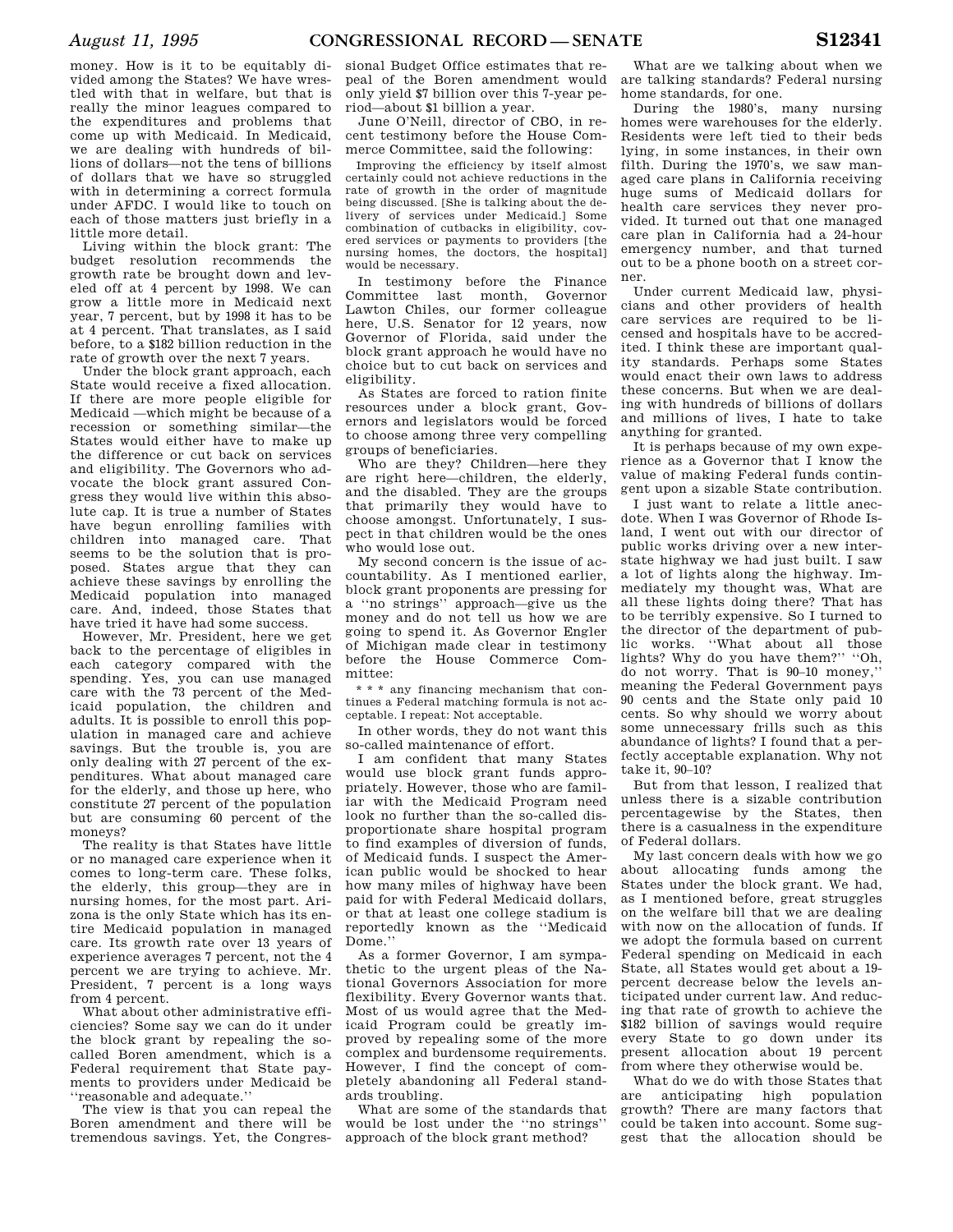money. How is it to be equitably divided among the States? We have wrestled with that in welfare, but that is really the minor leagues compared to the expenditures and problems that come up with Medicaid. In Medicaid, we are dealing with hundreds of billions of dollars—not the tens of billions of dollars that we have so struggled with in determining a correct formula under AFDC. I would like to touch on each of those matters just briefly in a little more detail.

Living within the block grant: The budget resolution recommends the growth rate be brought down and leveled off at 4 percent by 1998. We can grow a little more in Medicaid next year, 7 percent, but by 1998 it has to be at 4 percent. That translates, as I said before, to a \$182 billion reduction in the rate of growth over the next 7 years.

Under the block grant approach, each State would receive a fixed allocation. If there are more people eligible for Medicaid —which might be because of a recession or something similar—the States would either have to make up the difference or cut back on services and eligibility. The Governors who advocate the block grant assured Congress they would live within this absolute cap. It is true a number of States have begun enrolling families with children into managed care. That seems to be the solution that is proposed. States argue that they can achieve these savings by enrolling the Medicaid population into managed care. And, indeed, those States that have tried it have had some success.

However, Mr. President, here we get back to the percentage of eligibles in each category compared with the spending. Yes, you can use managed care with the 73 percent of the Medicaid population, the children and adults. It is possible to enroll this population in managed care and achieve savings. But the trouble is, you are only dealing with 27 percent of the expenditures. What about managed care for the elderly, and those up here, who constitute 27 percent of the population but are consuming 60 percent of the moneys?

The reality is that States have little or no managed care experience when it comes to long-term care. These folks, the elderly, this group—they are in nursing homes, for the most part. Arizona is the only State which has its entire Medicaid population in managed care. Its growth rate over 13 years of experience averages 7 percent, not the 4 percent we are trying to achieve. Mr. President, 7 percent is a long ways from 4 percent.

What about other administrative efficiencies? Some say we can do it under the block grant by repealing the socalled Boren amendment, which is a Federal requirement that State payments to providers under Medicaid be ''reasonable and adequate.''

The view is that you can repeal the Boren amendment and there will be tremendous savings. Yet, the Congres-

sional Budget Office estimates that repeal of the Boren amendment would only yield \$7 billion over this 7-year period—about \$1 billion a year.

June O'Neill, director of CBO, in recent testimony before the House Commerce Committee, said the following:

Improving the efficiency by itself almost certainly could not achieve reductions in the rate of growth in the order of magnitude being discussed. [She is talking about the delivery of services under Medicaid.] Some combination of cutbacks in eligibility, covered services or payments to providers [the nursing homes, the doctors, the hospital] would be necessary.

In testimony before the Finance Committee last month, Governor Lawton Chiles, our former colleague here, U.S. Senator for 12 years, now Governor of Florida, said under the block grant approach he would have no choice but to cut back on services and eligibility.

As States are forced to ration finite resources under a block grant, Governors and legislators would be forced to choose among three very compelling groups of beneficiaries.

Who are they? Children—here they are right here—children, the elderly and the disabled. They are the groups that primarily they would have to choose amongst. Unfortunately, I suspect in that children would be the ones who would lose out.

My second concern is the issue of accountability. As I mentioned earlier, block grant proponents are pressing for a ''no strings'' approach—give us the money and do not tell us how we are going to spend it. As Governor Engler of Michigan made clear in testimony before the House Commerce Committee:

\* \* \* any financing mechanism that continues a Federal matching formula is not acceptable. I repeat: Not acceptable.

In other words, they do not want this so-called maintenance of effort.

I am confident that many States would use block grant funds appropriately. However, those who are familiar with the Medicaid Program need look no further than the so-called disproportionate share hospital program to find examples of diversion of funds, of Medicaid funds. I suspect the American public would be shocked to hear how many miles of highway have been paid for with Federal Medicaid dollars, or that at least one college stadium is reportedly known as the ''Medicaid Dome.''

As a former Governor, I am sympathetic to the urgent pleas of the National Governors Association for more flexibility. Every Governor wants that. Most of us would agree that the Medicaid Program could be greatly improved by repealing some of the more complex and burdensome requirements. However, I find the concept of completely abandoning all Federal standards troubling.

What are some of the standards that would be lost under the ''no strings'' approach of the block grant method?

What are we talking about when we are talking standards? Federal nursing home standards, for one.

During the 1980's, many nursing homes were warehouses for the elderly. Residents were left tied to their beds lying, in some instances, in their own filth. During the 1970's, we saw managed care plans in California receiving huge sums of Medicaid dollars for health care services they never provided. It turned out that one managed care plan in California had a 24-hour emergency number, and that turned out to be a phone booth on a street corner.

Under current Medicaid law, physicians and other providers of health care services are required to be licensed and hospitals have to be accredited. I think these are important quality standards. Perhaps some States would enact their own laws to address these concerns. But when we are dealing with hundreds of billions of dollars and millions of lives, I hate to take anything for granted.

It is perhaps because of my own experience as a Governor that I know the value of making Federal funds contingent upon a sizable State contribution.

I just want to relate a little anecdote. When I was Governor of Rhode Island, I went out with our director of public works driving over a new interstate highway we had just built. I saw a lot of lights along the highway. Immediately my thought was, What are all these lights doing there? That has to be terribly expensive. So I turned to the director of the department of public works. ''What about all those lights? Why do you have them?'' ''Oh, do not worry. That is 90–10 money,'' meaning the Federal Government pays 90 cents and the State only paid 10 cents. So why should we worry about some unnecessary frills such as this abundance of lights? I found that a perfectly acceptable explanation. Why not take it, 90–10?

But from that lesson, I realized that unless there is a sizable contribution percentagewise by the States, then there is a casualness in the expenditure of Federal dollars.

My last concern deals with how we go about allocating funds among the States under the block grant. We had, as I mentioned before, great struggles on the welfare bill that we are dealing with now on the allocation of funds. If we adopt the formula based on current Federal spending on Medicaid in each State, all States would get about a 19 percent decrease below the levels anticipated under current law. And reducing that rate of growth to achieve the \$182 billion of savings would require every State to go down under its present allocation about 19 percent from where they otherwise would be.

What do we do with those States that are anticipating high population growth? There are many factors that could be taken into account. Some suggest that the allocation should be